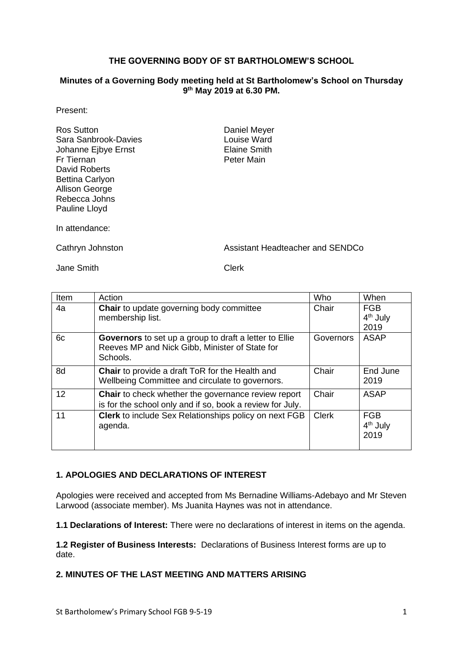### **THE GOVERNING BODY OF ST BARTHOLOMEW'S SCHOOL**

#### **Minutes of a Governing Body meeting held at St Bartholomew's School on Thursday 9 th May 2019 at 6.30 PM.**

### Present:

Ros Sutton **Daniel Meyer** Sara Sanbrook-Davies **Louise Ward** Johanne Ejbye Ernst **Elaine Smith** Fr Tiernan **Peter Main** David Roberts Bettina Carlyon Allison George Rebecca Johns Pauline Lloyd

In attendance:

Cathryn Johnston **Assistant Headteacher and SENDCo** 

Jane Smith Clerk

| Item | Action                                                                                                                      | Who          | When                                       |
|------|-----------------------------------------------------------------------------------------------------------------------------|--------------|--------------------------------------------|
| 4a   | Chair to update governing body committee<br>membership list.                                                                | Chair        | <b>FGB</b><br>$4th$ July<br>2019           |
| 6c   | <b>Governors</b> to set up a group to draft a letter to Ellie<br>Reeves MP and Nick Gibb, Minister of State for<br>Schools. | Governors    | <b>ASAP</b>                                |
| 8d   | <b>Chair</b> to provide a draft ToR for the Health and<br>Wellbeing Committee and circulate to governors.                   | Chair        | End June<br>2019                           |
| 12   | Chair to check whether the governance review report<br>is for the school only and if so, book a review for July.            | Chair        | <b>ASAP</b>                                |
| 11   | <b>Clerk</b> to include Sex Relationships policy on next FGB<br>agenda.                                                     | <b>Clerk</b> | <b>FGB</b><br>4 <sup>th</sup> July<br>2019 |

## **1. APOLOGIES AND DECLARATIONS OF INTEREST**

Apologies were received and accepted from Ms Bernadine Williams-Adebayo and Mr Steven Larwood (associate member). Ms Juanita Haynes was not in attendance.

**1.1 Declarations of Interest:** There were no declarations of interest in items on the agenda.

**1.2 Register of Business Interests:** Declarations of Business Interest forms are up to date.

### **2. MINUTES OF THE LAST MEETING AND MATTERS ARISING**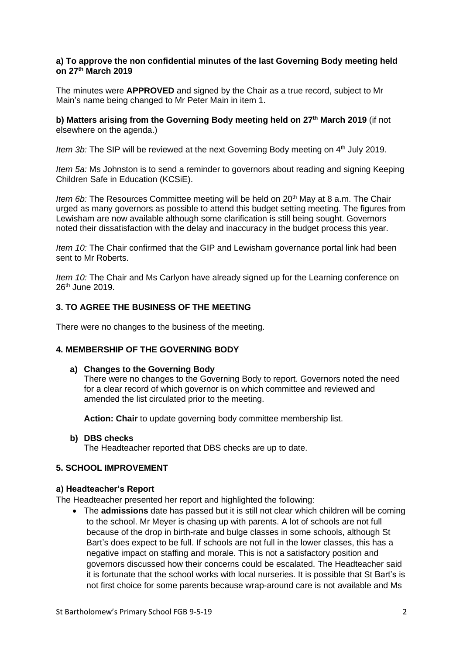### **a) To approve the non confidential minutes of the last Governing Body meeting held on 27 th March 2019**

The minutes were **APPROVED** and signed by the Chair as a true record, subject to Mr Main's name being changed to Mr Peter Main in item 1.

**b) Matters arising from the Governing Body meeting held on 27 th March 2019** (if not elsewhere on the agenda.)

*Item 3b:* The SIP will be reviewed at the next Governing Body meeting on 4<sup>th</sup> July 2019.

*Item 5a:* Ms Johnston is to send a reminder to governors about reading and signing Keeping Children Safe in Education (KCSiE).

*Item 6b:* The Resources Committee meeting will be held on 20<sup>th</sup> May at 8 a.m. The Chair urged as many governors as possible to attend this budget setting meeting. The figures from Lewisham are now available although some clarification is still being sought. Governors noted their dissatisfaction with the delay and inaccuracy in the budget process this year.

*Item 10:* The Chair confirmed that the GIP and Lewisham governance portal link had been sent to Mr Roberts.

*Item 10:* The Chair and Ms Carlyon have already signed up for the Learning conference on 26<sup>th</sup> June 2019.

### **3. TO AGREE THE BUSINESS OF THE MEETING**

There were no changes to the business of the meeting.

#### **4. MEMBERSHIP OF THE GOVERNING BODY**

#### **a) Changes to the Governing Body**

There were no changes to the Governing Body to report. Governors noted the need for a clear record of which governor is on which committee and reviewed and amended the list circulated prior to the meeting.

**Action: Chair** to update governing body committee membership list.

**b) DBS checks**

The Headteacher reported that DBS checks are up to date.

#### **5. SCHOOL IMPROVEMENT**

#### **a) Headteacher's Report**

The Headteacher presented her report and highlighted the following:

• The **admissions** date has passed but it is still not clear which children will be coming to the school. Mr Meyer is chasing up with parents. A lot of schools are not full because of the drop in birth-rate and bulge classes in some schools, although St Bart's does expect to be full. If schools are not full in the lower classes, this has a negative impact on staffing and morale. This is not a satisfactory position and governors discussed how their concerns could be escalated. The Headteacher said it is fortunate that the school works with local nurseries. It is possible that St Bart's is not first choice for some parents because wrap-around care is not available and Ms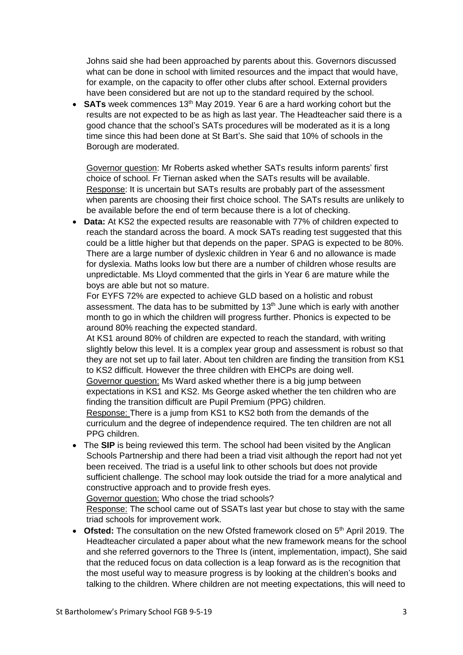Johns said she had been approached by parents about this. Governors discussed what can be done in school with limited resources and the impact that would have, for example, on the capacity to offer other clubs after school. External providers have been considered but are not up to the standard required by the school.

**SATs** week commences 13<sup>th</sup> May 2019. Year 6 are a hard working cohort but the results are not expected to be as high as last year. The Headteacher said there is a good chance that the school's SATs procedures will be moderated as it is a long time since this had been done at St Bart's. She said that 10% of schools in the Borough are moderated.

Governor question: Mr Roberts asked whether SATs results inform parents' first choice of school. Fr Tiernan asked when the SATs results will be available. Response: It is uncertain but SATs results are probably part of the assessment when parents are choosing their first choice school. The SATs results are unlikely to be available before the end of term because there is a lot of checking.

• **Data:** At KS2 the expected results are reasonable with 77% of children expected to reach the standard across the board. A mock SATs reading test suggested that this could be a little higher but that depends on the paper. SPAG is expected to be 80%. There are a large number of dyslexic children in Year 6 and no allowance is made for dyslexia. Maths looks low but there are a number of children whose results are unpredictable. Ms Lloyd commented that the girls in Year 6 are mature while the boys are able but not so mature.

For EYFS 72% are expected to achieve GLD based on a holistic and robust assessment. The data has to be submitted by  $13<sup>th</sup>$  June which is early with another month to go in which the children will progress further. Phonics is expected to be around 80% reaching the expected standard.

At KS1 around 80% of children are expected to reach the standard, with writing slightly below this level. It is a complex year group and assessment is robust so that they are not set up to fail later. About ten children are finding the transition from KS1 to KS2 difficult. However the three children with EHCPs are doing well.

Governor question: Ms Ward asked whether there is a big jump between expectations in KS1 and KS2. Ms George asked whether the ten children who are finding the transition difficult are Pupil Premium (PPG) children.

Response: There is a jump from KS1 to KS2 both from the demands of the curriculum and the degree of independence required. The ten children are not all PPG children.

• The **SIP** is being reviewed this term. The school had been visited by the Anglican Schools Partnership and there had been a triad visit although the report had not yet been received. The triad is a useful link to other schools but does not provide sufficient challenge. The school may look outside the triad for a more analytical and constructive approach and to provide fresh eyes.

Governor question: Who chose the triad schools?

Response: The school came out of SSATs last year but chose to stay with the same triad schools for improvement work.

• **Ofsted:** The consultation on the new Ofsted framework closed on 5<sup>th</sup> April 2019. The Headteacher circulated a paper about what the new framework means for the school and she referred governors to the Three Is (intent, implementation, impact), She said that the reduced focus on data collection is a leap forward as is the recognition that the most useful way to measure progress is by looking at the children's books and talking to the children. Where children are not meeting expectations, this will need to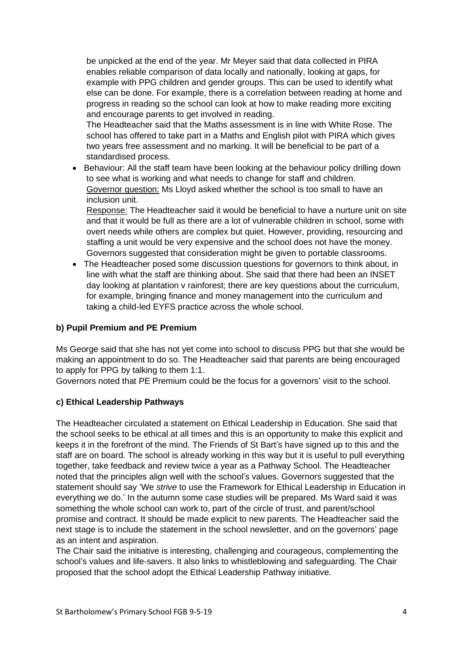be unpicked at the end of the year. Mr Meyer said that data collected in PIRA enables reliable comparison of data locally and nationally, looking at gaps, for example with PPG children and gender groups. This can be used to identify what else can be done. For example, there is a correlation between reading at home and progress in reading so the school can look at how to make reading more exciting and encourage parents to get involved in reading.

The Headteacher said that the Maths assessment is in line with White Rose. The school has offered to take part in a Maths and English pilot with PIRA which gives two years free assessment and no marking. It will be beneficial to be part of a standardised process.

• Behaviour: All the staff team have been looking at the behaviour policy drilling down to see what is working and what needs to change for staff and children. Governor question: Ms Lloyd asked whether the school is too small to have an inclusion unit.

Response: The Headteacher said it would be beneficial to have a nurture unit on site and that it would be full as there are a lot of vulnerable children in school, some with overt needs while others are complex but quiet. However, providing, resourcing and staffing a unit would be very expensive and the school does not have the money. Governors suggested that consideration might be given to portable classrooms.

• The Headteacher posed some discussion questions for governors to think about, in line with what the staff are thinking about. She said that there had been an INSET day looking at plantation v rainforest; there are key questions about the curriculum, for example, bringing finance and money management into the curriculum and taking a child-led EYFS practice across the whole school.

# **b) Pupil Premium and PE Premium**

Ms George said that she has not yet come into school to discuss PPG but that she would be making an appointment to do so. The Headteacher said that parents are being encouraged to apply for PPG by talking to them 1:1.

Governors noted that PE Premium could be the focus for a governors' visit to the school.

### **c) Ethical Leadership Pathways**

The Headteacher circulated a statement on Ethical Leadership in Education. She said that the school seeks to be ethical at all times and this is an opportunity to make this explicit and keeps it in the forefront of the mind. The Friends of St Bart's have signed up to this and the staff are on board. The school is already working in this way but it is useful to pull everything together, take feedback and review twice a year as a Pathway School. The Headteacher noted that the principles align well with the school's values. Governors suggested that the statement should say 'We *strive* to use the Framework for Ethical Leadership in Education in everything we do.' In the autumn some case studies will be prepared. Ms Ward said it was something the whole school can work to, part of the circle of trust, and parent/school promise and contract. It should be made explicit to new parents. The Headteacher said the next stage is to include the statement in the school newsletter, and on the governors' page as an intent and aspiration.

The Chair said the initiative is interesting, challenging and courageous, complementing the school's values and life-savers. It also links to whistleblowing and safeguarding. The Chair proposed that the school adopt the Ethical Leadership Pathway initiative.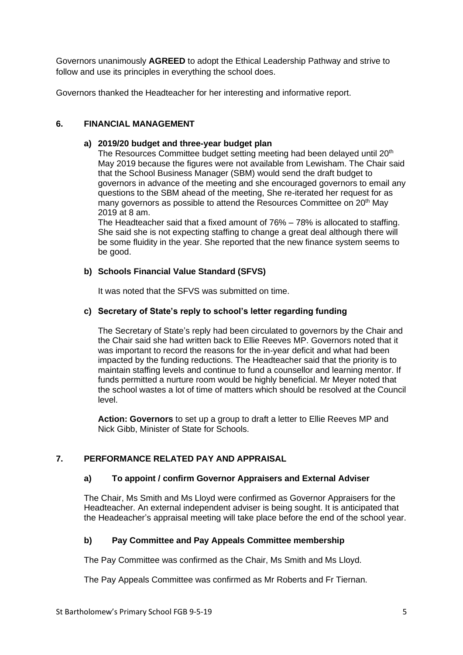Governors unanimously **AGREED** to adopt the Ethical Leadership Pathway and strive to follow and use its principles in everything the school does.

Governors thanked the Headteacher for her interesting and informative report.

### **6. FINANCIAL MANAGEMENT**

#### **a) 2019/20 budget and three-year budget plan**

The Resources Committee budget setting meeting had been delayed until 20<sup>th</sup> May 2019 because the figures were not available from Lewisham. The Chair said that the School Business Manager (SBM) would send the draft budget to governors in advance of the meeting and she encouraged governors to email any questions to the SBM ahead of the meeting, She re-iterated her request for as many governors as possible to attend the Resources Committee on 20<sup>th</sup> May 2019 at 8 am.

The Headteacher said that a fixed amount of 76% – 78% is allocated to staffing. She said she is not expecting staffing to change a great deal although there will be some fluidity in the year. She reported that the new finance system seems to be good.

### **b) Schools Financial Value Standard (SFVS)**

It was noted that the SFVS was submitted on time.

## **c) Secretary of State's reply to school's letter regarding funding**

The Secretary of State's reply had been circulated to governors by the Chair and the Chair said she had written back to Ellie Reeves MP. Governors noted that it was important to record the reasons for the in-year deficit and what had been impacted by the funding reductions. The Headteacher said that the priority is to maintain staffing levels and continue to fund a counsellor and learning mentor. If funds permitted a nurture room would be highly beneficial. Mr Meyer noted that the school wastes a lot of time of matters which should be resolved at the Council level.

**Action: Governors** to set up a group to draft a letter to Ellie Reeves MP and Nick Gibb, Minister of State for Schools.

## **7. PERFORMANCE RELATED PAY AND APPRAISAL**

#### **a) To appoint / confirm Governor Appraisers and External Adviser**

The Chair, Ms Smith and Ms Lloyd were confirmed as Governor Appraisers for the Headteacher. An external independent adviser is being sought. It is anticipated that the Headeacher's appraisal meeting will take place before the end of the school year.

#### **b) Pay Committee and Pay Appeals Committee membership**

The Pay Committee was confirmed as the Chair, Ms Smith and Ms Lloyd.

The Pay Appeals Committee was confirmed as Mr Roberts and Fr Tiernan.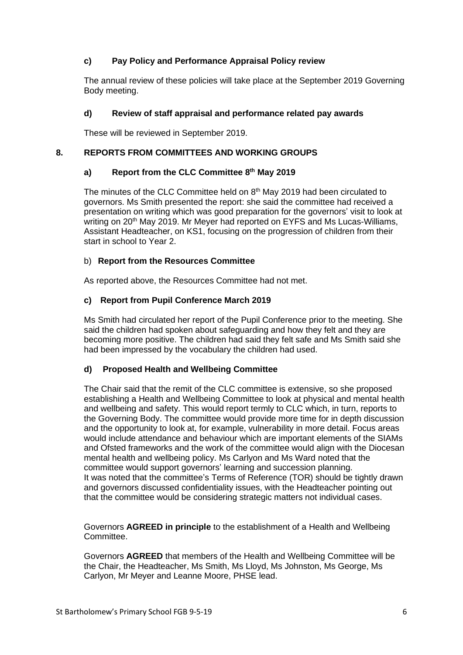## **c) Pay Policy and Performance Appraisal Policy review**

The annual review of these policies will take place at the September 2019 Governing Body meeting.

### **d) Review of staff appraisal and performance related pay awards**

These will be reviewed in September 2019.

### **8. REPORTS FROM COMMITTEES AND WORKING GROUPS**

### **a) Report from the CLC Committee 8 th May 2019**

The minutes of the CLC Committee held on 8<sup>th</sup> May 2019 had been circulated to governors. Ms Smith presented the report: she said the committee had received a presentation on writing which was good preparation for the governors' visit to look at writing on 20<sup>th</sup> May 2019. Mr Meyer had reported on EYFS and Ms Lucas-Williams, Assistant Headteacher, on KS1, focusing on the progression of children from their start in school to Year 2.

### b) **Report from the Resources Committee**

As reported above, the Resources Committee had not met.

### **c) Report from Pupil Conference March 2019**

Ms Smith had circulated her report of the Pupil Conference prior to the meeting. She said the children had spoken about safeguarding and how they felt and they are becoming more positive. The children had said they felt safe and Ms Smith said she had been impressed by the vocabulary the children had used.

#### **d) Proposed Health and Wellbeing Committee**

The Chair said that the remit of the CLC committee is extensive, so she proposed establishing a Health and Wellbeing Committee to look at physical and mental health and wellbeing and safety. This would report termly to CLC which, in turn, reports to the Governing Body. The committee would provide more time for in depth discussion and the opportunity to look at, for example, vulnerability in more detail. Focus areas would include attendance and behaviour which are important elements of the SIAMs and Ofsted frameworks and the work of the committee would align with the Diocesan mental health and wellbeing policy. Ms Carlyon and Ms Ward noted that the committee would support governors' learning and succession planning. It was noted that the committee's Terms of Reference (TOR) should be tightly drawn and governors discussed confidentiality issues, with the Headteacher pointing out that the committee would be considering strategic matters not individual cases.

Governors **AGREED in principle** to the establishment of a Health and Wellbeing Committee.

Governors **AGREED** that members of the Health and Wellbeing Committee will be the Chair, the Headteacher, Ms Smith, Ms Lloyd, Ms Johnston, Ms George, Ms Carlyon, Mr Meyer and Leanne Moore, PHSE lead.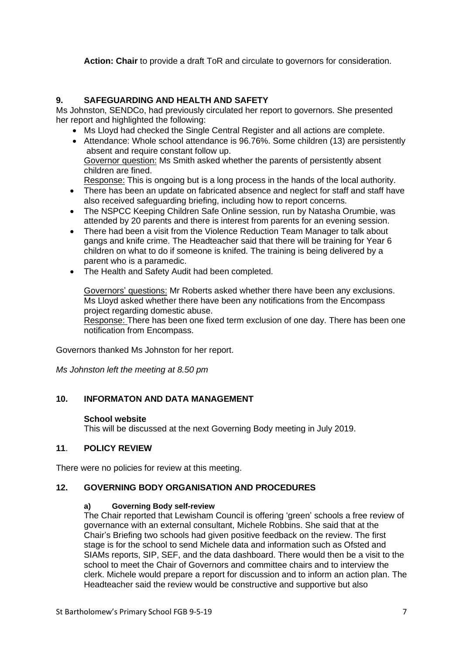**Action: Chair** to provide a draft ToR and circulate to governors for consideration.

## **9. SAFEGUARDING AND HEALTH AND SAFETY**

Ms Johnston, SENDCo, had previously circulated her report to governors. She presented her report and highlighted the following:

- Ms Lloyd had checked the Single Central Register and all actions are complete.
- Attendance: Whole school attendance is 96.76%. Some children (13) are persistently absent and require constant follow up. Governor question: Ms Smith asked whether the parents of persistently absent children are fined.

Response: This is ongoing but is a long process in the hands of the local authority.

- There has been an update on fabricated absence and neglect for staff and staff have also received safeguarding briefing, including how to report concerns.
- The NSPCC Keeping Children Safe Online session, run by Natasha Orumbie, was attended by 20 parents and there is interest from parents for an evening session.
- There had been a visit from the Violence Reduction Team Manager to talk about gangs and knife crime. The Headteacher said that there will be training for Year 6 children on what to do if someone is knifed. The training is being delivered by a parent who is a paramedic.
- The Health and Safety Audit had been completed.

Governors' questions: Mr Roberts asked whether there have been any exclusions. Ms Lloyd asked whether there have been any notifications from the Encompass project regarding domestic abuse.

Response: There has been one fixed term exclusion of one day. There has been one notification from Encompass.

Governors thanked Ms Johnston for her report.

*Ms Johnston left the meeting at 8.50 pm*

## **10. INFORMATON AND DATA MANAGEMENT**

### **School website**

This will be discussed at the next Governing Body meeting in July 2019.

### **11**. **POLICY REVIEW**

There were no policies for review at this meeting.

### **12. GOVERNING BODY ORGANISATION AND PROCEDURES**

### **a) Governing Body self-review**

The Chair reported that Lewisham Council is offering 'green' schools a free review of governance with an external consultant, Michele Robbins. She said that at the Chair's Briefing two schools had given positive feedback on the review. The first stage is for the school to send Michele data and information such as Ofsted and SIAMs reports, SIP, SEF, and the data dashboard. There would then be a visit to the school to meet the Chair of Governors and committee chairs and to interview the clerk. Michele would prepare a report for discussion and to inform an action plan. The Headteacher said the review would be constructive and supportive but also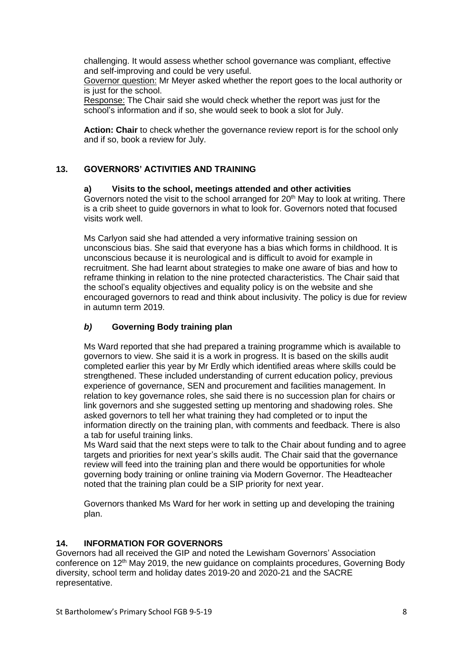challenging. It would assess whether school governance was compliant, effective and self-improving and could be very useful.

Governor question: Mr Meyer asked whether the report goes to the local authority or is just for the school.

Response: The Chair said she would check whether the report was just for the school's information and if so, she would seek to book a slot for July.

**Action: Chair** to check whether the governance review report is for the school only and if so, book a review for July.

## **13. GOVERNORS' ACTIVITIES AND TRAINING**

### **a) Visits to the school, meetings attended and other activities**

Governors noted the visit to the school arranged for  $20<sup>th</sup>$  May to look at writing. There is a crib sheet to guide governors in what to look for. Governors noted that focused visits work well.

Ms Carlyon said she had attended a very informative training session on unconscious bias. She said that everyone has a bias which forms in childhood. It is unconscious because it is neurological and is difficult to avoid for example in recruitment. She had learnt about strategies to make one aware of bias and how to reframe thinking in relation to the nine protected characteristics. The Chair said that the school's equality objectives and equality policy is on the website and she encouraged governors to read and think about inclusivity. The policy is due for review in autumn term 2019.

## *b)* **Governing Body training plan**

Ms Ward reported that she had prepared a training programme which is available to governors to view. She said it is a work in progress. It is based on the skills audit completed earlier this year by Mr Erdly which identified areas where skills could be strengthened. These included understanding of current education policy, previous experience of governance, SEN and procurement and facilities management. In relation to key governance roles, she said there is no succession plan for chairs or link governors and she suggested setting up mentoring and shadowing roles. She asked governors to tell her what training they had completed or to input the information directly on the training plan, with comments and feedback. There is also a tab for useful training links.

Ms Ward said that the next steps were to talk to the Chair about funding and to agree targets and priorities for next year's skills audit. The Chair said that the governance review will feed into the training plan and there would be opportunities for whole governing body training or online training via Modern Governor. The Headteacher noted that the training plan could be a SIP priority for next year.

Governors thanked Ms Ward for her work in setting up and developing the training plan.

### **14. INFORMATION FOR GOVERNORS**

Governors had all received the GIP and noted the Lewisham Governors' Association conference on  $12<sup>th</sup>$  May 2019, the new guidance on complaints procedures, Governing Body diversity, school term and holiday dates 2019-20 and 2020-21 and the SACRE representative.